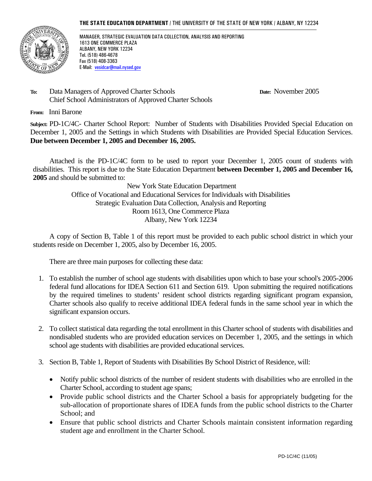#### **THE STATE EDUCATION DEPARTMENT** / THE UNIVERSITY OF THE STATE OF NEW YORK / ALBANY, NY 12234



MANAGER, STRATEGIC EVALUATION DATA COLLECTION, ANALYSIS AND REPORTING 1613 ONE COMMERCE PLAZA ALBANY, NEW YORK 12234 Tel. (518) 486-4678 Fax (518) 408-3363 E-Mail: vesidcar@mail.nysed.gov

**To:** Data Managers of Approved Charter Schools **Date:** November 2005 Chief School Administrators of Approved Charter Schools

**From:** Inni Barone

**Subject:** PD-1C/4C- Charter School Report: Number of Students with Disabilities Provided Special Education on December 1, 2005 and the Settings in which Students with Disabilities are Provided Special Education Services. **Due between December 1, 2005 and December 16, 2005.** 

Attached is the PD-1C/4C form to be used to report your December 1, 2005 count of students with disabilities. This report is due to the State Education Department **between December 1, 2005 and December 16, 2005** and should be submitted to:

> New York State Education Department Office of Vocational and Educational Services for Individuals with Disabilities Strategic Evaluation Data Collection, Analysis and Reporting Room 1613, One Commerce Plaza Albany, New York 12234

A copy of Section B, Table 1 of this report must be provided to each public school district in which your students reside on December 1, 2005, also by December 16, 2005.

There are three main purposes for collecting these data:

- 1. To establish the number of school age students with disabilities upon which to base your school's 2005-2006 federal fund allocations for IDEA Section 611 and Section 619. Upon submitting the required notifications by the required timelines to students' resident school districts regarding significant program expansion, Charter schools also qualify to receive additional IDEA federal funds in the same school year in which the significant expansion occurs.
- 2. To collect statistical data regarding the total enrollment in this Charter school of students with disabilities and nondisabled students who are provided education services on December 1, 2005, and the settings in which school age students with disabilities are provided educational services.
- 3. Section B, Table 1, Report of Students with Disabilities By School District of Residence, will:
	- Notify public school districts of the number of resident students with disabilities who are enrolled in the Charter School, according to student age spans;
	- Provide public school districts and the Charter School a basis for appropriately budgeting for the sub-allocation of proportionate shares of IDEA funds from the public school districts to the Charter School; and
	- Ensure that public school districts and Charter Schools maintain consistent information regarding student age and enrollment in the Charter School.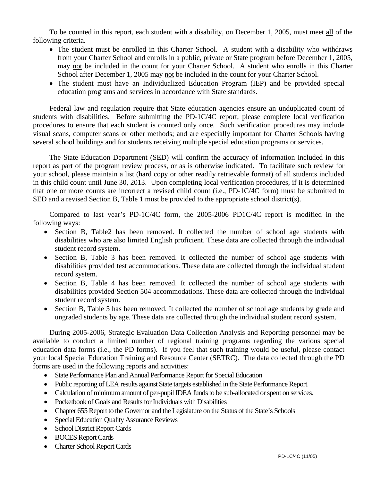To be counted in this report, each student with a disability, on December 1, 2005, must meet all of the following criteria.

- The student must be enrolled in this Charter School. A student with a disability who withdraws from your Charter School and enrolls in a public, private or State program before December 1, 2005, may not be included in the count for your Charter School. A student who enrolls in this Charter School after December 1, 2005 may not be included in the count for your Charter School.
- The student must have an Individualized Education Program (IEP) and be provided special education programs and services in accordance with State standards.

Federal law and regulation require that State education agencies ensure an unduplicated count of students with disabilities. Before submitting the PD-1C/4C report, please complete local verification procedures to ensure that each student is counted only once. Such verification procedures may include visual scans, computer scans or other methods; and are especially important for Charter Schools having several school buildings and for students receiving multiple special education programs or services.

The State Education Department (SED) will confirm the accuracy of information included in this report as part of the program review process, or as is otherwise indicated. To facilitate such review for your school, please maintain a list (hard copy or other readily retrievable format) of all students included in this child count until June 30, 2013. Upon completing local verification procedures, if it is determined that one or more counts are incorrect a revised child count (i.e., PD-1C/4C form) must be submitted to SED and a revised Section B, Table 1 must be provided to the appropriate school district(s).

Compared to last year's PD-1C/4C form, the 2005-2006 PD1C/4C report is modified in the following ways:

- Section B, Table2 has been removed. It collected the number of school age students with disabilities who are also limited English proficient. These data are collected through the individual student record system.
- Section B, Table 3 has been removed. It collected the number of school age students with disabilities provided test accommodations. These data are collected through the individual student record system.
- Section B, Table 4 has been removed. It collected the number of school age students with disabilities provided Section 504 accommodations. These data are collected through the individual student record system.
- Section B, Table 5 has been removed. It collected the number of school age students by grade and ungraded students by age. These data are collected through the individual student record system.

During 2005-2006, Strategic Evaluation Data Collection Analysis and Reporting personnel may be available to conduct a limited number of regional training programs regarding the various special education data forms (i.e., the PD forms). If you feel that such training would be useful, please contact your local Special Education Training and Resource Center (SETRC). The data collected through the PD forms are used in the following reports and activities:

- State Performance Plan and Annual Performance Report for Special Education
- Public reporting of LEA results against State targets established in the State Performance Report.
- Calculation of minimum amount of per-pupil IDEA funds to be sub-allocated or spent on services.
- Pocketbook of Goals and Results for Individuals with Disabilities
- Chapter 655 Report to the Governor and the Legislature on the Status of the State's Schools
- Special Education Quality Assurance Reviews
- School District Report Cards
- BOCES Report Cards
- Charter School Report Cards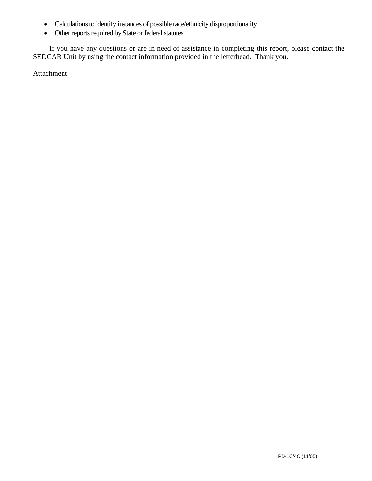- Calculations to identify instances of possible race/ethnicity disproportionality
- Other reports required by State or federal statutes

If you have any questions or are in need of assistance in completing this report, please contact the SEDCAR Unit by using the contact information provided in the letterhead. Thank you.

Attachment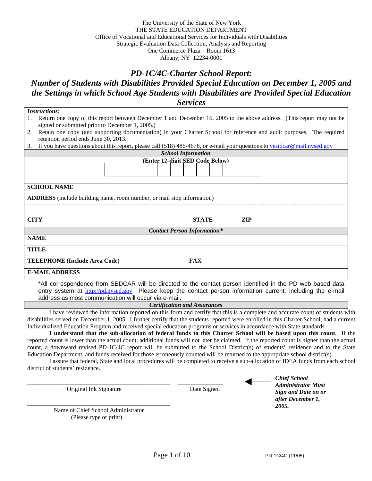#### The University of the State of New York THE STATE EDUCATION DEPARTMENT Office of Vocational and Educational Services for Individuals with Disabilities Strategic Evaluation Data Collection, Analysis and Reporting One Commerce Plaza – Room 1613 Albany, NY 12234-0001

### *PD-1C/4C-Charter School Report:*

*Number of Students with Disabilities Provided Special Education on December 1, 2005 and the Settings in which School Age Students with Disabilities are Provided Special Education Services*

*Instructions:* 1. Return one copy of this report between December 1 and December 16, 2005 to the above address. (This report may not be signed or submitted prior to December 1, 2005.) 2. Retain one copy (and supporting documentation) in your Charter School for reference and audit purposes. The required retention period ends June 30, 2013. 3. If you have questions about this report, please call (518) 486-4678, or e-mail your questions to vesidcar@mail.nysed.gov *School Information*  **(Enter 12-digit SED Code Below) SCHOOL NAME ADDRESS** (include building name, room number, or mail stop information) **CITY STATE ZIP** *Contact Person Information\** **NAME TITLE TELEPHONE (Include Area Code) FAX E-MAIL ADDRESS** 

\*All correspondence from SEDCAR will be directed to the contact person identified in the PD web based data entry system at http://pd.nysed.gov Please keep the contact person information current, including the e-mail address as most communication will occur via e-mail.

*Certification and Assurances* 

I have reviewed the information reported on this form and certify that this is a complete and accurate count of students with disabilities served on December 1, 2005. I further certify that the students reported were enrolled in this Charter School, had a current Individualized Education Program and received special education programs or services in accordance with State standards.

**I understand that the sub-allocation of federal funds to this Charter School will be based upon this count.** If the reported count is lower than the actual count, additional funds will not later be claimed. If the reported count is higher than the actual count, a downward revised PD-1C/4C report will be submitted to the School District(s) of students' residence and to the State Education Department, and funds received for those erroneously counted will be returned to the appropriate school district(s).

I assure that federal, State and local procedures will be completed to receive a sub-allocation of IDEA funds from each school district of students' residence.

Original Ink Signature Date Signed

*Chief School Administrator Must Sign and Date on or after December 1, 2005.*

\_\_\_\_\_\_\_\_\_\_\_\_\_\_\_\_\_\_\_\_\_\_\_\_\_\_\_\_\_\_\_\_\_\_\_\_\_\_\_\_\_\_\_\_\_\_\_ Name of Chief School Administrator (Please type or print)

\_\_\_\_\_\_\_\_\_\_\_\_\_\_\_\_\_\_\_\_\_\_\_\_\_\_\_\_\_\_\_\_\_\_\_\_\_\_\_\_\_\_\_\_\_\_\_ \_\_\_\_\_\_\_\_\_\_\_\_\_\_\_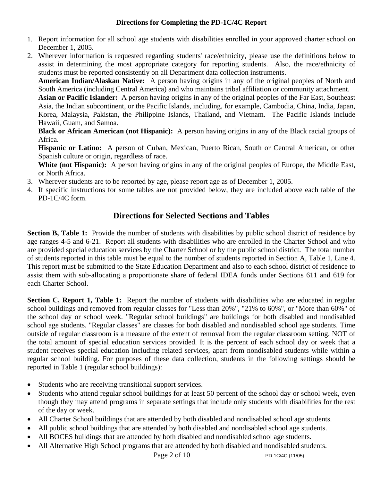## **Directions for Completing the PD-1C/4C Report**

- 1. Report information for all school age students with disabilities enrolled in your approved charter school on December 1, 2005.
- 2. Wherever information is requested regarding students' race/ethnicity, please use the definitions below to assist in determining the most appropriate category for reporting students. Also, the race/ethnicity of students must be reported consistently on all Department data collection instruments.

**American Indian/Alaskan Native:** A person having origins in any of the original peoples of North and South America (including Central America) and who maintains tribal affiliation or community attachment.

**Asian or Pacific Islander:** A person having origins in any of the original peoples of the Far East, Southeast Asia, the Indian subcontinent, or the Pacific Islands, including, for example, Cambodia, China, India, Japan, Korea, Malaysia, Pakistan, the Philippine Islands, Thailand, and Vietnam. The Pacific Islands include Hawaii, Guam, and Samoa.

**Black or African American (not Hispanic):** A person having origins in any of the Black racial groups of Africa.

**Hispanic or Latino:** A person of Cuban, Mexican, Puerto Rican, South or Central American, or other Spanish culture or origin, regardless of race.

White (not Hispanic): A person having origins in any of the original peoples of Europe, the Middle East, or North Africa.

- 3. Wherever students are to be reported by age, please report age as of December 1, 2005.
- 4. If specific instructions for some tables are not provided below, they are included above each table of the PD-1C/4C form.

# **Directions for Selected Sections and Tables**

**Section B, Table 1:** Provide the number of students with disabilities by public school district of residence by age ranges 4-5 and 6-21. Report all students with disabilities who are enrolled in the Charter School and who are provided special education services by the Charter School or by the public school district. The total number of students reported in this table must be equal to the number of students reported in Section A, Table 1, Line 4. This report must be submitted to the State Education Department and also to each school district of residence to assist them with sub-allocating a proportionate share of federal IDEA funds under Sections 611 and 619 for each Charter School.

**Section C, Report 1, Table 1:** Report the number of students with disabilities who are educated in regular school buildings and removed from regular classes for "Less than 20%", "21% to 60%", or "More than 60%" of the school day or school week. "Regular school buildings" are buildings for both disabled and nondisabled school age students. "Regular classes" are classes for both disabled and nondisabled school age students. Time outside of regular classroom is a measure of the extent of removal from the regular classroom setting, NOT of the total amount of special education services provided. It is the percent of each school day or week that a student receives special education including related services, apart from nondisabled students while within a regular school building. For purposes of these data collection, students in the following settings should be reported in Table 1 (regular school buildings):

- Students who are receiving transitional support services.
- Students who attend regular school buildings for at least 50 percent of the school day or school week, even though they may attend programs in separate settings that include only students with disabilities for the rest of the day or week.
- All Charter School buildings that are attended by both disabled and nondisabled school age students.
- All public school buildings that are attended by both disabled and nondisabled school age students.
- All BOCES buildings that are attended by both disabled and nondisabled school age students.
- All Alternative High School programs that are attended by both disabled and nondisabled students.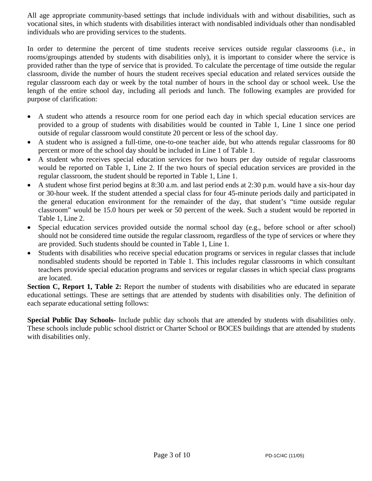All age appropriate community-based settings that include individuals with and without disabilities, such as vocational sites, in which students with disabilities interact with nondisabled individuals other than nondisabled individuals who are providing services to the students.

In order to determine the percent of time students receive services outside regular classrooms (i.e., in rooms/groupings attended by students with disabilities only), it is important to consider where the service is provided rather than the type of service that is provided. To calculate the percentage of time outside the regular classroom, divide the number of hours the student receives special education and related services outside the regular classroom each day or week by the total number of hours in the school day or school week. Use the length of the entire school day, including all periods and lunch. The following examples are provided for purpose of clarification:

- A student who attends a resource room for one period each day in which special education services are provided to a group of students with disabilities would be counted in Table 1, Line 1 since one period outside of regular classroom would constitute 20 percent or less of the school day.
- A student who is assigned a full-time, one-to-one teacher aide, but who attends regular classrooms for 80 percent or more of the school day should be included in Line 1 of Table 1.
- A student who receives special education services for two hours per day outside of regular classrooms would be reported on Table 1, Line 2. If the two hours of special education services are provided in the regular classroom, the student should be reported in Table 1, Line 1.
- A student whose first period begins at 8:30 a.m. and last period ends at 2:30 p.m. would have a six-hour day or 30-hour week. If the student attended a special class for four 45-minute periods daily and participated in the general education environment for the remainder of the day, that student's "time outside regular classroom" would be 15.0 hours per week or 50 percent of the week. Such a student would be reported in Table 1, Line 2.
- Special education services provided outside the normal school day (e.g., before school or after school) should not be considered time outside the regular classroom, regardless of the type of services or where they are provided. Such students should be counted in Table 1, Line 1.
- Students with disabilities who receive special education programs or services in regular classes that include nondisabled students should be reported in Table 1. This includes regular classrooms in which consultant teachers provide special education programs and services or regular classes in which special class programs are located.

**Section C, Report 1, Table 2:** Report the number of students with disabilities who are educated in separate educational settings. These are settings that are attended by students with disabilities only. The definition of each separate educational setting follows:

**Special Public Day Schools-** Include public day schools that are attended by students with disabilities only. These schools include public school district or Charter School or BOCES buildings that are attended by students with disabilities only.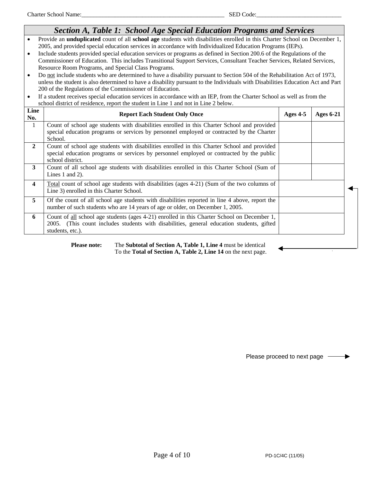|                                                  | Section A, Table 1: School Age Special Education Programs and Services                                                                                                                                                                                                                                                                                                                                                                                                                                                                                                                                                                                                                                                                                                                                                                                                                                                                                                                                                                                                                            |          |                  |
|--------------------------------------------------|---------------------------------------------------------------------------------------------------------------------------------------------------------------------------------------------------------------------------------------------------------------------------------------------------------------------------------------------------------------------------------------------------------------------------------------------------------------------------------------------------------------------------------------------------------------------------------------------------------------------------------------------------------------------------------------------------------------------------------------------------------------------------------------------------------------------------------------------------------------------------------------------------------------------------------------------------------------------------------------------------------------------------------------------------------------------------------------------------|----------|------------------|
| $\bullet$<br>$\bullet$<br>$\bullet$<br>$\bullet$ | Provide an unduplicated count of all school age students with disabilities enrolled in this Charter School on December 1,<br>2005, and provided special education services in accordance with Individualized Education Programs (IEPs).<br>Include students provided special education services or programs as defined in Section 200.6 of the Regulations of the<br>Commissioner of Education. This includes Transitional Support Services, Consultant Teacher Services, Related Services,<br>Resource Room Programs, and Special Class Programs.<br>Do not include students who are determined to have a disability pursuant to Section 504 of the Rehabilitation Act of 1973,<br>unless the student is also determined to have a disability pursuant to the Individuals with Disabilities Education Act and Part<br>200 of the Regulations of the Commissioner of Education.<br>If a student receives special education services in accordance with an IEP, from the Charter School as well as from the<br>school district of residence, report the student in Line 1 and not in Line 2 below. |          |                  |
| Line<br>No.                                      | <b>Report Each Student Only Once</b>                                                                                                                                                                                                                                                                                                                                                                                                                                                                                                                                                                                                                                                                                                                                                                                                                                                                                                                                                                                                                                                              | Ages 4-5 | <b>Ages 6-21</b> |
| 1                                                | Count of school age students with disabilities enrolled in this Charter School and provided<br>special education programs or services by personnel employed or contracted by the Charter<br>School.                                                                                                                                                                                                                                                                                                                                                                                                                                                                                                                                                                                                                                                                                                                                                                                                                                                                                               |          |                  |
| $\overline{2}$                                   | Count of school age students with disabilities enrolled in this Charter School and provided<br>special education programs or services by personnel employed or contracted by the public<br>school district.                                                                                                                                                                                                                                                                                                                                                                                                                                                                                                                                                                                                                                                                                                                                                                                                                                                                                       |          |                  |
| 3                                                | Count of all school age students with disabilities enrolled in this Charter School (Sum of<br>Lines $1$ and $2$ ).                                                                                                                                                                                                                                                                                                                                                                                                                                                                                                                                                                                                                                                                                                                                                                                                                                                                                                                                                                                |          |                  |
| $\overline{\mathbf{4}}$                          | Total count of school age students with disabilities (ages 4-21) (Sum of the two columns of<br>Line 3) enrolled in this Charter School.                                                                                                                                                                                                                                                                                                                                                                                                                                                                                                                                                                                                                                                                                                                                                                                                                                                                                                                                                           |          |                  |
| 5                                                | Of the count of all school age students with disabilities reported in line 4 above, report the<br>number of such students who are 14 years of age or older, on December 1, 2005.                                                                                                                                                                                                                                                                                                                                                                                                                                                                                                                                                                                                                                                                                                                                                                                                                                                                                                                  |          |                  |
| 6                                                | Count of all school age students (ages 4-21) enrolled in this Charter School on December 1,<br>2005. (This count includes students with disabilities, general education students, gifted<br>students, etc.).                                                                                                                                                                                                                                                                                                                                                                                                                                                                                                                                                                                                                                                                                                                                                                                                                                                                                      |          |                  |

#### Please note: The Subtotal of Section A, Table 1, Line 4 must be identical To the **Total of Section A, Table 2, Line 14** on the next page.

Please proceed to next page -

▶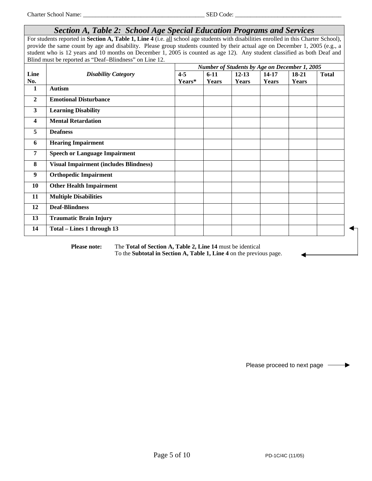# *Section A, Table 2: School Age Special Education Programs and Services*

For students reported in **Section A, Table 1, Line 4** (i.e. all school age students with disabilities enrolled in this Charter School), provide the same count by age and disability. Please group students counted by their actual age on December 1, 2005 (e.g., a student who is 12 years and 10 months on December 1, 2005 is counted as age 12). Any student classified as both Deaf and Blind must be reported as "Deaf–Blindness" on Line 12.

|                         |                                               | Number of Students by Age on December 1, 2005 |          |              |              |         |              |
|-------------------------|-----------------------------------------------|-----------------------------------------------|----------|--------------|--------------|---------|--------------|
| Line                    | <b>Disability Category</b>                    | $4 - 5$                                       | $6 - 11$ | $12 - 13$    | 14-17        | $18-21$ | <b>Total</b> |
| No.                     |                                               | Years*                                        | Years    | <b>Years</b> | <b>Years</b> | Years   |              |
| 1                       | <b>Autism</b>                                 |                                               |          |              |              |         |              |
| $\mathbf{2}$            | <b>Emotional Disturbance</b>                  |                                               |          |              |              |         |              |
| 3                       | <b>Learning Disability</b>                    |                                               |          |              |              |         |              |
| $\overline{\mathbf{4}}$ | <b>Mental Retardation</b>                     |                                               |          |              |              |         |              |
| 5                       | <b>Deafness</b>                               |                                               |          |              |              |         |              |
| 6                       | <b>Hearing Impairment</b>                     |                                               |          |              |              |         |              |
| 7                       | <b>Speech or Language Impairment</b>          |                                               |          |              |              |         |              |
| 8                       | <b>Visual Impairment (includes Blindness)</b> |                                               |          |              |              |         |              |
| 9                       | <b>Orthopedic Impairment</b>                  |                                               |          |              |              |         |              |
| 10                      | <b>Other Health Impairment</b>                |                                               |          |              |              |         |              |
| 11                      | <b>Multiple Disabilities</b>                  |                                               |          |              |              |         |              |
| 12                      | <b>Deaf-Blindness</b>                         |                                               |          |              |              |         |              |
| 13                      | <b>Traumatic Brain Injury</b>                 |                                               |          |              |              |         |              |
| 14                      | Total - Lines 1 through 13                    |                                               |          |              |              |         |              |

**Please note:** The Total of Section A, Table 2, Line 14 must be identical To the **Subtotal in Section A, Table 1, Line 4** on the previous page.

Please proceed to next page -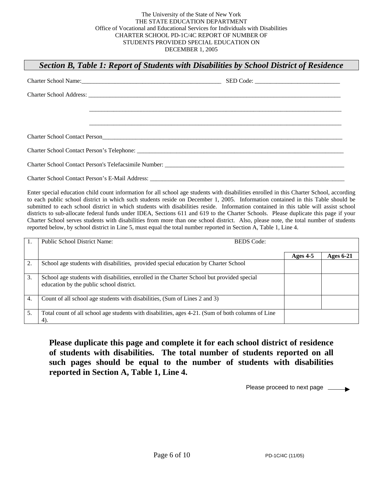# *Section B, Table 1: Report of Students with Disabilities by School District of Residence*

| Charter School Name: 2008. [2010]                                                                                                                                                                                              | SED Code: |  |
|--------------------------------------------------------------------------------------------------------------------------------------------------------------------------------------------------------------------------------|-----------|--|
|                                                                                                                                                                                                                                |           |  |
|                                                                                                                                                                                                                                |           |  |
|                                                                                                                                                                                                                                |           |  |
| Charter School Contact Person Contact Design Contact Person Contact Person Contact Person Contact Person Contact Person Contact Person Contact Person Contact Person Contact Person Contact Person Contact Person Contact Pers |           |  |
|                                                                                                                                                                                                                                |           |  |
|                                                                                                                                                                                                                                |           |  |
|                                                                                                                                                                                                                                |           |  |

Enter special education child count information for all school age students with disabilities enrolled in this Charter School, according to each public school district in which such students reside on December 1, 2005. Information contained in this Table should be submitted to each school district in which students with disabilities reside. Information contained in this table will assist school districts to sub-allocate federal funds under IDEA, Sections 611 and 619 to the Charter Schools. Please duplicate this page if your Charter School serves students with disabilities from more than one school district. Also, please note, the total number of students reported below, by school district in Line 5, must equal the total number reported in Section A, Table 1, Line 4.

|    | <b>Public School District Name:</b>                                                                                                    | <b>BEDS</b> Code: |                  |
|----|----------------------------------------------------------------------------------------------------------------------------------------|-------------------|------------------|
|    |                                                                                                                                        | Ages $4-5$        | <b>Ages 6-21</b> |
| 2. | School age students with disabilities, provided special education by Charter School                                                    |                   |                  |
| 3. | School age students with disabilities, enrolled in the Charter School but provided special<br>education by the public school district. |                   |                  |
| 4. | Count of all school age students with disabilities, (Sum of Lines 2 and 3)                                                             |                   |                  |
| 5. | Total count of all school age students with disabilities, ages 4-21. (Sum of both columns of Line<br>4).                               |                   |                  |

**Please duplicate this page and complete it for each school district of residence of students with disabilities. The total number of students reported on all such pages should be equal to the number of students with disabilities reported in Section A, Table 1, Line 4.**

Please proceed to next page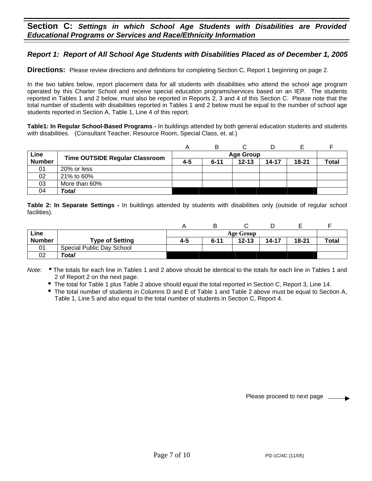### **Section C:** *Settings in which School Age Students with Disabilities are Provided Educational Programs or Services and Race/Ethnicity Information*

## *Report 1: Report of All School Age Students with Disabilities Placed as of December 1, 2005*

**Directions:** Please review directions and definitions for completing Section C, Report 1 beginning on page 2.

In the two tables below, report placement data for all students with disabilities who attend the school age program operated by this Charter School and receive special education programs/services based on an IEP. The students reported in Tables 1 and 2 below, must also be reported in Reports 2, 3 and 4 of this Section C. Please note that the total number of students with disabilities reported in Tables 1 and 2 below must be equal to the number of school age students reported in Section A, Table 1, Line 4 of this report.

**Table1: In Regular School-Based Programs -** In buildings attended by both general education students and students with disabilities.(Consultant Teacher, Resource Room, Special Class, et. al.)

|               |                                       |  | в                |           |           |           |              |  |
|---------------|---------------------------------------|--|------------------|-----------|-----------|-----------|--------------|--|
| Line          |                                       |  | <b>Age Group</b> |           |           |           |              |  |
| <b>Number</b> | <b>Time OUTSIDE Regular Classroom</b> |  | $6 - 11$         | $12 - 13$ | $14 - 17$ | $18 - 21$ | <b>Total</b> |  |
| 01            | 20% or less                           |  |                  |           |           |           |              |  |
| 02            | 21% to 60%                            |  |                  |           |           |           |              |  |
| 03            | More than 60%                         |  |                  |           |           |           |              |  |
| 04            | Total                                 |  |                  |           |           |           |              |  |

**Table 2: In Separate Settings -** In buildings attended by students with disabilities only (outside of regular school facilities).

|               |                           |     |                  |           |       | –         |              |
|---------------|---------------------------|-----|------------------|-----------|-------|-----------|--------------|
| Line          |                           |     | <b>Age Group</b> |           |       |           |              |
| <b>Number</b> | <b>Type of Setting</b>    | 4-5 | $6 - 11$         | $12 - 13$ | 14-17 | $18 - 21$ | <b>Total</b> |
| 01            | Special Public Day School |     |                  |           |       |           |              |
| 02            | Total                     |     |                  |           |       |           |              |

Note: . The totals for each line in Tables 1 and 2 above should be identical to the totals for each line in Tables 1 and 2 of Report 2 on the next page.

• The total for Table 1 plus Table 2 above should equal the total reported in Section C, Report 3, Line 14.

The total number of students in Columns D and E of Table 1 and Table 2 above must be equal to Section A, Table 1, Line 5 and also equal to the total number of students in Section C, Report 4.

Please proceed to next page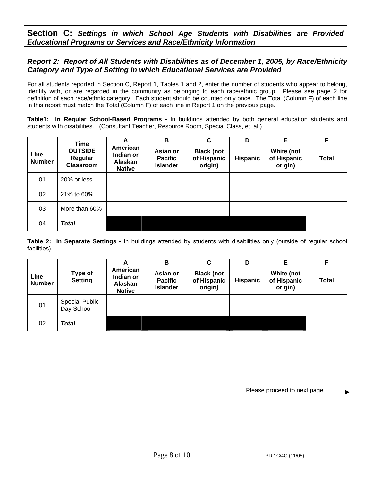**Section C:** *Settings in which School Age Students with Disabilities are Provided Educational Programs or Services and Race/Ethnicity Information*

### *Report 2: Report of All Students with Disabilities as of December 1, 2005, by Race/Ethnicity Category and Type of Setting in which Educational Services are Provided*

For all students reported in Section C, Report 1, Tables 1 and 2, enter the number of students who appear to belong, identify with, or are regarded in the community as belonging to each race/ethnic group. Please see page 2 for definition of each race/ethnic category. Each student should be counted only once. The Total (Column F) of each line in this report must match the Total (Column F) of each line in Report 1 on the previous page.

**Table1: In Regular School-Based Programs -** In buildings attended by both general education students and students with disabilities. (Consultant Teacher, Resource Room, Special Class, et. al.)

|                       | Time                                          | A                                                 | B                                             | C                                           | D               | Е                                    | F            |
|-----------------------|-----------------------------------------------|---------------------------------------------------|-----------------------------------------------|---------------------------------------------|-----------------|--------------------------------------|--------------|
| Line<br><b>Number</b> | <b>OUTSIDE</b><br>Regular<br><b>Classroom</b> | American<br>Indian or<br>Alaskan<br><b>Native</b> | Asian or<br><b>Pacific</b><br><b>Islander</b> | <b>Black (not</b><br>of Hispanic<br>origin) | <b>Hispanic</b> | White (not<br>of Hispanic<br>origin) | <b>Total</b> |
| 01                    | 20% or less                                   |                                                   |                                               |                                             |                 |                                      |              |
| 02                    | 21% to 60%                                    |                                                   |                                               |                                             |                 |                                      |              |
| 03                    | More than 60%                                 |                                                   |                                               |                                             |                 |                                      |              |
| 04                    | <b>Total</b>                                  |                                                   |                                               |                                             |                 |                                      |              |

**Table 2: In Separate Settings -** In buildings attended by students with disabilities only (outside of regular school facilities).

|                       |                                     | A                                                 | в                                             | C                                           | D               | Е                                    | F     |
|-----------------------|-------------------------------------|---------------------------------------------------|-----------------------------------------------|---------------------------------------------|-----------------|--------------------------------------|-------|
| Line<br><b>Number</b> | Type of<br><b>Setting</b>           | American<br>Indian or<br>Alaskan<br><b>Native</b> | Asian or<br><b>Pacific</b><br><b>Islander</b> | <b>Black (not</b><br>of Hispanic<br>origin) | <b>Hispanic</b> | White (not<br>of Hispanic<br>origin) | Total |
| 01                    | <b>Special Public</b><br>Day School |                                                   |                                               |                                             |                 |                                      |       |
| 02                    | Total                               |                                                   |                                               |                                             |                 |                                      |       |

Please proceed to next page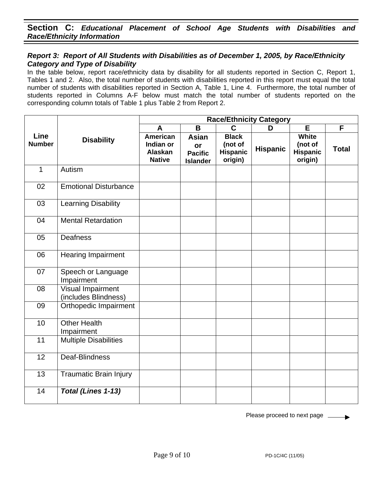## **Section C:** *Educational Placement of School Age Students with Disabilities and Race/Ethnicity Information*

#### *Report 3: Report of All Students with Disabilities as of December 1, 2005, by Race/Ethnicity Category and Type of Disability*

In the table below, report race/ethnicity data by disability for all students reported in Section C, Report 1, Tables 1 and 2. Also, the total number of students with disabilities reported in this report must equal the total number of students with disabilities reported in Section A, Table 1, Line 4. Furthermore, the total number of students reported in Columns A-F below must match the total number of students reported on the corresponding column totals of Table 1 plus Table 2 from Report 2.

|                       |                                           | <b>Race/Ethnicity Category</b>                    |                                                         |                                                       |                 |                                                       |              |  |  |  |
|-----------------------|-------------------------------------------|---------------------------------------------------|---------------------------------------------------------|-------------------------------------------------------|-----------------|-------------------------------------------------------|--------------|--|--|--|
|                       |                                           | A                                                 | B                                                       | C                                                     | D               | E                                                     | F            |  |  |  |
| Line<br><b>Number</b> | <b>Disability</b>                         | American<br>Indian or<br>Alaskan<br><b>Native</b> | <b>Asian</b><br>or<br><b>Pacific</b><br><b>Islander</b> | <b>Black</b><br>(not of<br><b>Hispanic</b><br>origin) | <b>Hispanic</b> | <b>White</b><br>(not of<br><b>Hispanic</b><br>origin) | <b>Total</b> |  |  |  |
| $\mathbf{1}$          | Autism                                    |                                                   |                                                         |                                                       |                 |                                                       |              |  |  |  |
| 02                    | <b>Emotional Disturbance</b>              |                                                   |                                                         |                                                       |                 |                                                       |              |  |  |  |
| 03                    | <b>Learning Disability</b>                |                                                   |                                                         |                                                       |                 |                                                       |              |  |  |  |
| 04                    | <b>Mental Retardation</b>                 |                                                   |                                                         |                                                       |                 |                                                       |              |  |  |  |
| 05                    | <b>Deafness</b>                           |                                                   |                                                         |                                                       |                 |                                                       |              |  |  |  |
| 06                    | <b>Hearing Impairment</b>                 |                                                   |                                                         |                                                       |                 |                                                       |              |  |  |  |
| 07                    | Speech or Language<br>Impairment          |                                                   |                                                         |                                                       |                 |                                                       |              |  |  |  |
| 08                    | Visual Impairment<br>(includes Blindness) |                                                   |                                                         |                                                       |                 |                                                       |              |  |  |  |
| 09                    | Orthopedic Impairment                     |                                                   |                                                         |                                                       |                 |                                                       |              |  |  |  |
| 10                    | <b>Other Health</b><br>Impairment         |                                                   |                                                         |                                                       |                 |                                                       |              |  |  |  |
| 11                    | Multiple Disabilities                     |                                                   |                                                         |                                                       |                 |                                                       |              |  |  |  |
| 12                    | Deaf-Blindness                            |                                                   |                                                         |                                                       |                 |                                                       |              |  |  |  |
| 13                    | <b>Traumatic Brain Injury</b>             |                                                   |                                                         |                                                       |                 |                                                       |              |  |  |  |
| 14                    | Total (Lines 1-13)                        |                                                   |                                                         |                                                       |                 |                                                       |              |  |  |  |

Please proceed to next page  $\phantom{0}$